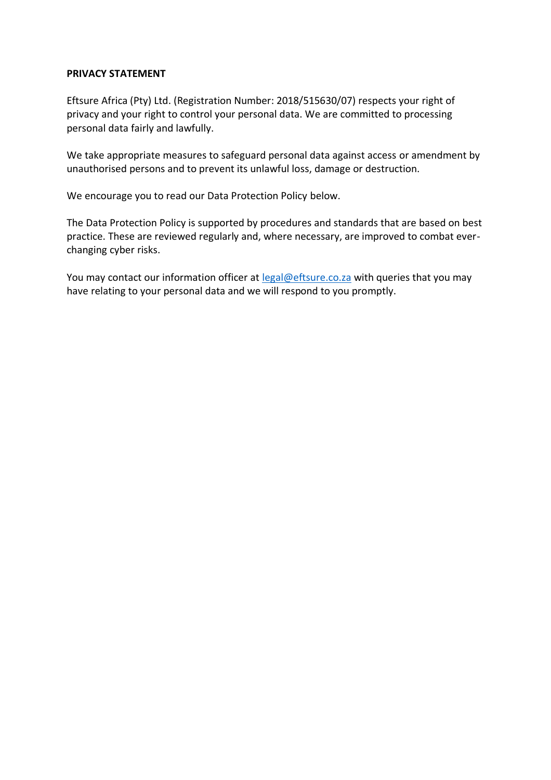#### **PRIVACY STATEMENT**

Eftsure Africa (Pty) Ltd. (Registration Number: 2018/515630/07) respects your right of privacy and your right to control your personal data. We are committed to processing personal data fairly and lawfully.

We take appropriate measures to safeguard personal data against access or amendment by unauthorised persons and to prevent its unlawful loss, damage or destruction.

We encourage you to read our Data Protection Policy below.

The Data Protection Policy is supported by procedures and standards that are based on best practice. These are reviewed regularly and, where necessary, are improved to combat everchanging cyber risks.

You may contact our information officer at [legal@eftsure.co.za](mailto:legal@eftsure.co.za) with queries that you may have relating to your personal data and we will respond to you promptly.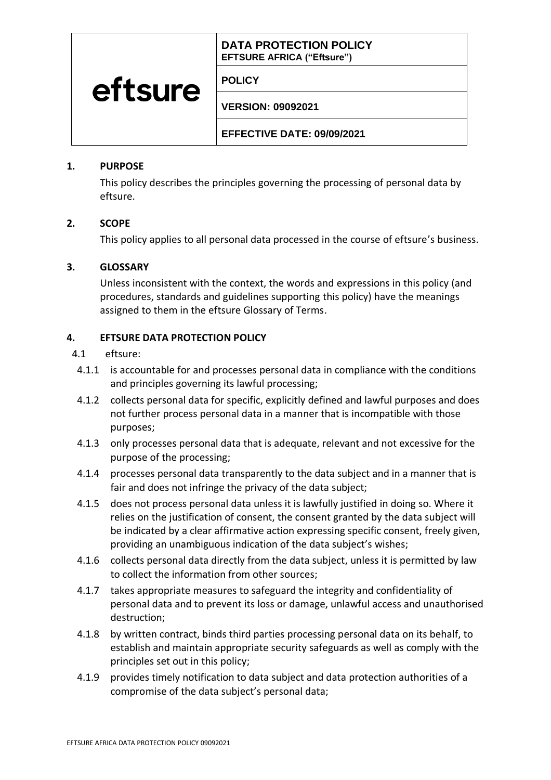# **DATA PROTECTION POLICY EFTSURE AFRICA ("Eftsure")**

### **POLICY**

**VERSION: 09092021**

**EFFECTIVE DATE: 09/09/2021**

### **1. PURPOSE**

eftsure

This policy describes the principles governing the processing of personal data by eftsure.

### **2. SCOPE**

This policy applies to all personal data processed in the course of eftsure's business.

### **3. GLOSSARY**

Unless inconsistent with the context, the words and expressions in this policy (and procedures, standards and guidelines supporting this policy) have the meanings assigned to them in the eftsure Glossary of Terms.

## **4. EFTSURE DATA PROTECTION POLICY**

- 4.1 eftsure:
- 4.1.1 is accountable for and processes personal data in compliance with the conditions and principles governing its lawful processing;
- 4.1.2 collects personal data for specific, explicitly defined and lawful purposes and does not further process personal data in a manner that is incompatible with those purposes;
- 4.1.3 only processes personal data that is adequate, relevant and not excessive for the purpose of the processing;
- 4.1.4 processes personal data transparently to the data subject and in a manner that is fair and does not infringe the privacy of the data subject;
- 4.1.5 does not process personal data unless it is lawfully justified in doing so. Where it relies on the justification of consent, the consent granted by the data subject will be indicated by a clear affirmative action expressing specific consent, freely given, providing an unambiguous indication of the data subject's wishes;
- 4.1.6 collects personal data directly from the data subject, unless it is permitted by law to collect the information from other sources;
- 4.1.7 takes appropriate measures to safeguard the integrity and confidentiality of personal data and to prevent its loss or damage, unlawful access and unauthorised destruction;
- 4.1.8 by written contract, binds third parties processing personal data on its behalf, to establish and maintain appropriate security safeguards as well as comply with the principles set out in this policy;
- 4.1.9 provides timely notification to data subject and data protection authorities of a compromise of the data subject's personal data;